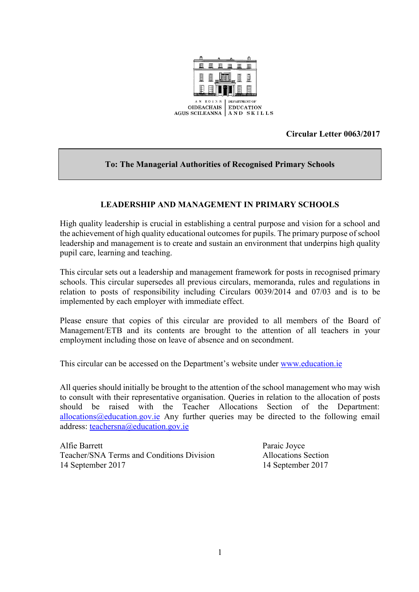

**Circular Letter 0063/2017**

## **To: The Managerial Authorities of Recognised Primary Schools**

## **LEADERSHIP AND MANAGEMENT IN PRIMARY SCHOOLS**

High quality leadership is crucial in establishing a central purpose and vision for a school and the achievement of high quality educational outcomes for pupils. The primary purpose of school leadership and management is to create and sustain an environment that underpins high quality pupil care, learning and teaching.

This circular sets out a leadership and management framework for posts in recognised primary schools. This circular supersedes all previous circulars, memoranda, rules and regulations in relation to posts of responsibility including Circulars 0039/2014 and 07/03 and is to be implemented by each employer with immediate effect.

Please ensure that copies of this circular are provided to all members of the Board of Management/ETB and its contents are brought to the attention of all teachers in your employment including those on leave of absence and on secondment.

This circular can be accessed on the Department's website under [www.education.ie](http://www.education.ie/)

All queries should initially be brought to the attention of the school management who may wish to consult with their representative organisation. Queries in relation to the allocation of posts should be raised with the Teacher Allocations Section of the Department: [allocations@education.gov.ie](mailto:allocations@education.gov.ie) Any further queries may be directed to the following email address: [teachersna@education.gov.ie](mailto:teachersna@education.gov.ie)

Alfie Barrett Paraic Joyce Teacher/SNA Terms and Conditions Division Allocations Section 14 September 2017 14 September 2017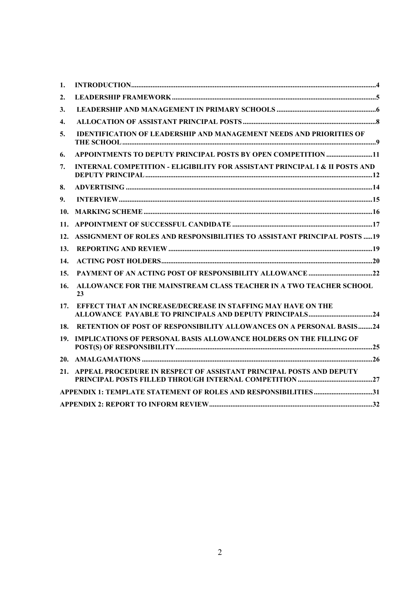| 1.  |                                                                                        |  |
|-----|----------------------------------------------------------------------------------------|--|
| 2.  |                                                                                        |  |
| 3.  |                                                                                        |  |
| 4.  |                                                                                        |  |
| 5.  | IDENTIFICATION OF LEADERSHIP AND MANAGEMENT NEEDS AND PRIORITIES OF                    |  |
| 6.  | APPOINTMENTS TO DEPUTY PRINCIPAL POSTS BY OPEN COMPETITION 11                          |  |
| 7.  | <b>INTERNAL COMPETITION - ELIGIBILITY FOR ASSISTANT PRINCIPAL I &amp; II POSTS AND</b> |  |
| 8.  |                                                                                        |  |
| 9.  |                                                                                        |  |
| 10. |                                                                                        |  |
| 11. |                                                                                        |  |
| 12. | ASSIGNMENT OF ROLES AND RESPONSIBILITIES TO ASSISTANT PRINCIPAL POSTS  19              |  |
| 13. |                                                                                        |  |
| 14. |                                                                                        |  |
| 15. |                                                                                        |  |
| 16. | ALLOWANCE FOR THE MAINSTREAM CLASS TEACHER IN A TWO TEACHER SCHOOL<br>23               |  |
| 17. | EFFECT THAT AN INCREASE/DECREASE IN STAFFING MAY HAVE ON THE                           |  |
| 18. | RETENTION OF POST OF RESPONSIBILITY ALLOWANCES ON A PERSONAL BASIS24                   |  |
| 19. | <b>IMPLICATIONS OF PERSONAL BASIS ALLOWANCE HOLDERS ON THE FILLING OF</b>              |  |
|     |                                                                                        |  |
| 21. | APPEAL PROCEDURE IN RESPECT OF ASSISTANT PRINCIPAL POSTS AND DEPUTY                    |  |
|     | APPENDIX 1: TEMPLATE STATEMENT OF ROLES AND RESPONSIBILITIES31                         |  |
|     |                                                                                        |  |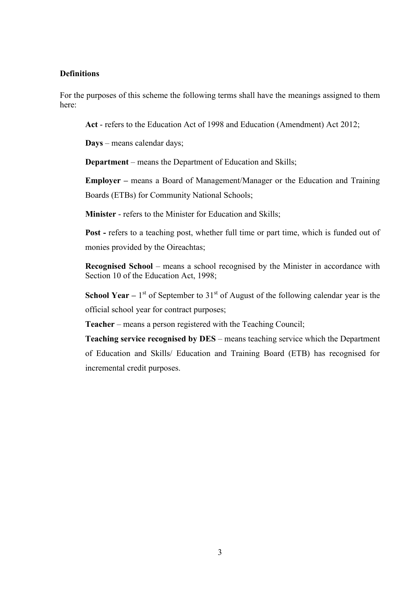#### **Definitions**

For the purposes of this scheme the following terms shall have the meanings assigned to them here:

**Act** - refers to the Education Act of 1998 and Education (Amendment) Act 2012;

**Days** – means calendar days;

**Department** – means the Department of Education and Skills;

**Employer –** means a Board of Management/Manager or the Education and Training Boards (ETBs) for Community National Schools;

**Minister** - refers to the Minister for Education and Skills;

**Post** - refers to a teaching post, whether full time or part time, which is funded out of monies provided by the Oireachtas;

**Recognised School** – means a school recognised by the Minister in accordance with Section 10 of the Education Act, 1998;

**School Year**  $-1$ <sup>st</sup> of September to 31<sup>st</sup> of August of the following calendar year is the official school year for contract purposes;

**Teacher** – means a person registered with the Teaching Council;

**Teaching service recognised by DES** – means teaching service which the Department of Education and Skills/ Education and Training Board (ETB) has recognised for incremental credit purposes.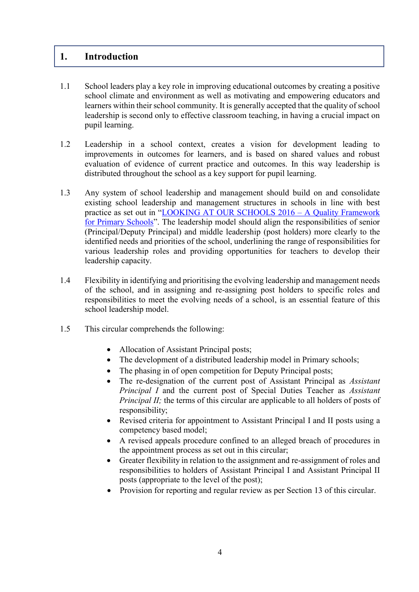## <span id="page-3-0"></span>**1. Introduction**

- 1.1 School leaders play a key role in improving educational outcomes by creating a positive school climate and environment as well as motivating and empowering educators and learners within their school community. It is generally accepted that the quality of school leadership is second only to effective classroom teaching, in having a crucial impact on pupil learning.
- 1.2 Leadership in a school context, creates a vision for development leading to improvements in outcomes for learners, and is based on shared values and robust evaluation of evidence of current practice and outcomes. In this way leadership is distributed throughout the school as a key support for pupil learning.
- 1.3 Any system of school leadership and management should build on and consolidate existing school leadership and management structures in schools in line with best practice as set out in "[LOOKING AT OUR SCHOOLS 2016](https://www.education.ie/en/Publications/Inspection-Reports-Publications/Evaluation-Reports-Guidelines/Looking-at-Our-School-2016-A-Quality-Framework-for-Primary-Schools.pdf) – A Quality Framework [for Primary Schools](https://www.education.ie/en/Publications/Inspection-Reports-Publications/Evaluation-Reports-Guidelines/Looking-at-Our-School-2016-A-Quality-Framework-for-Primary-Schools.pdf)". The leadership model should align the responsibilities of senior (Principal/Deputy Principal) and middle leadership (post holders) more clearly to the identified needs and priorities of the school, underlining the range of responsibilities for various leadership roles and providing opportunities for teachers to develop their leadership capacity.
- 1.4 Flexibility in identifying and prioritising the evolving leadership and management needs of the school, and in assigning and re-assigning post holders to specific roles and responsibilities to meet the evolving needs of a school, is an essential feature of this school leadership model.
- 1.5 This circular comprehends the following:
	- Allocation of Assistant Principal posts;
	- The development of a distributed leadership model in Primary schools;
	- The phasing in of open competition for Deputy Principal posts;
	- The re-designation of the current post of Assistant Principal as *Assistant Principal I* and the current post of Special Duties Teacher as *Assistant Principal II;* the terms of this circular are applicable to all holders of posts of responsibility;
	- Revised criteria for appointment to Assistant Principal I and II posts using a competency based model;
	- A revised appeals procedure confined to an alleged breach of procedures in the appointment process as set out in this circular;
	- Greater flexibility in relation to the assignment and re-assignment of roles and responsibilities to holders of Assistant Principal I and Assistant Principal II posts (appropriate to the level of the post);
	- Provision for reporting and regular review as per Section 13 of this circular.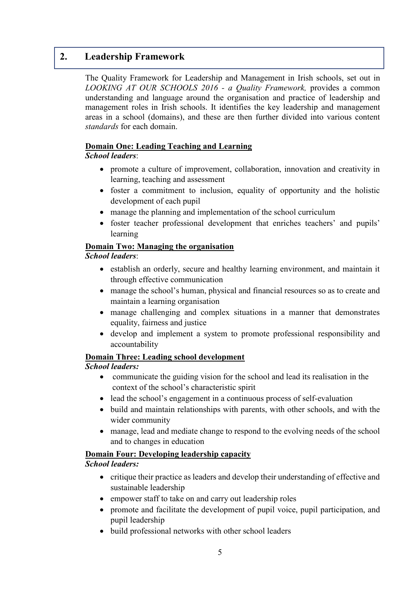## <span id="page-4-0"></span>**2. Leadership Framework**

The Quality Framework for Leadership and Management in Irish schools, set out in *LOOKING AT OUR SCHOOLS 2016 - a Quality Framework,* provides a common understanding and language around the organisation and practice of leadership and management roles in Irish schools. It identifies the key leadership and management areas in a school (domains), and these are then further divided into various content *standards* for each domain.

## **Domain One: Leading Teaching and Learning**

## *School leaders*:

- promote a culture of improvement, collaboration, innovation and creativity in learning, teaching and assessment
- foster a commitment to inclusion, equality of opportunity and the holistic development of each pupil
- manage the planning and implementation of the school curriculum
- foster teacher professional development that enriches teachers' and pupils' learning

## **Domain Two: Managing the organisation**

## *School leaders*:

- establish an orderly, secure and healthy learning environment, and maintain it through effective communication
- manage the school's human, physical and financial resources so as to create and maintain a learning organisation
- manage challenging and complex situations in a manner that demonstrates equality, fairness and justice
- develop and implement a system to promote professional responsibility and accountability

## **Domain Three: Leading school development**

## *School leaders:*

- communicate the guiding vision for the school and lead its realisation in the context of the school's characteristic spirit
- lead the school's engagement in a continuous process of self-evaluation
- build and maintain relationships with parents, with other schools, and with the wider community
- manage, lead and mediate change to respond to the evolving needs of the school and to changes in education

## **Domain Four: Developing leadership capacity**

## *School leaders:*

- critique their practice as leaders and develop their understanding of effective and sustainable leadership
- empower staff to take on and carry out leadership roles
- promote and facilitate the development of pupil voice, pupil participation, and pupil leadership
- build professional networks with other school leaders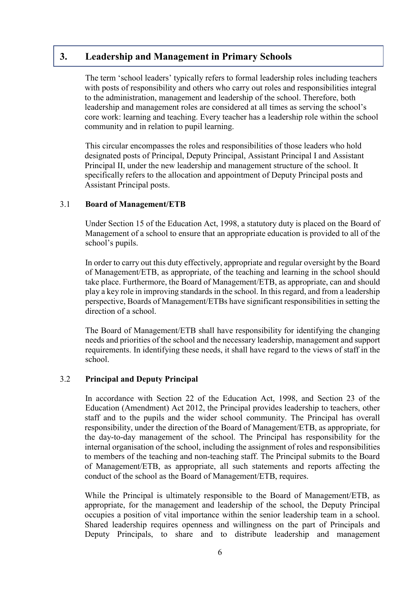## <span id="page-5-0"></span>**3. Leadership and Management in Primary Schools**

The term 'school leaders' typically refers to formal leadership roles including teachers with posts of responsibility and others who carry out roles and responsibilities integral to the administration, management and leadership of the school. Therefore, both leadership and management roles are considered at all times as serving the school's core work: learning and teaching. Every teacher has a leadership role within the school community and in relation to pupil learning.

This circular encompasses the roles and responsibilities of those leaders who hold designated posts of Principal, Deputy Principal, Assistant Principal I and Assistant Principal II, under the new leadership and management structure of the school. It specifically refers to the allocation and appointment of Deputy Principal posts and Assistant Principal posts.

### 3.1 **Board of Management/ETB**

Under Section 15 of the Education Act, 1998, a statutory duty is placed on the Board of Management of a school to ensure that an appropriate education is provided to all of the school's pupils.

In order to carry out this duty effectively, appropriate and regular oversight by the Board of Management/ETB, as appropriate, of the teaching and learning in the school should take place. Furthermore, the Board of Management/ETB, as appropriate, can and should play a key role in improving standards in the school. In this regard, and from a leadership perspective, Boards of Management/ETBs have significant responsibilities in setting the direction of a school.

The Board of Management/ETB shall have responsibility for identifying the changing needs and priorities of the school and the necessary leadership, management and support requirements. In identifying these needs, it shall have regard to the views of staff in the school.

#### 3.2 **Principal and Deputy Principal**

In accordance with Section 22 of the Education Act, 1998, and Section 23 of the Education (Amendment) Act 2012, the Principal provides leadership to teachers, other staff and to the pupils and the wider school community. The Principal has overall responsibility, under the direction of the Board of Management/ETB, as appropriate, for the day-to-day management of the school. The Principal has responsibility for the internal organisation of the school, including the assignment of roles and responsibilities to members of the teaching and non-teaching staff. The Principal submits to the Board of Management/ETB, as appropriate, all such statements and reports affecting the conduct of the school as the Board of Management/ETB, requires.

While the Principal is ultimately responsible to the Board of Management/ETB, as appropriate, for the management and leadership of the school, the Deputy Principal occupies a position of vital importance within the senior leadership team in a school. Shared leadership requires openness and willingness on the part of Principals and Deputy Principals, to share and to distribute leadership and management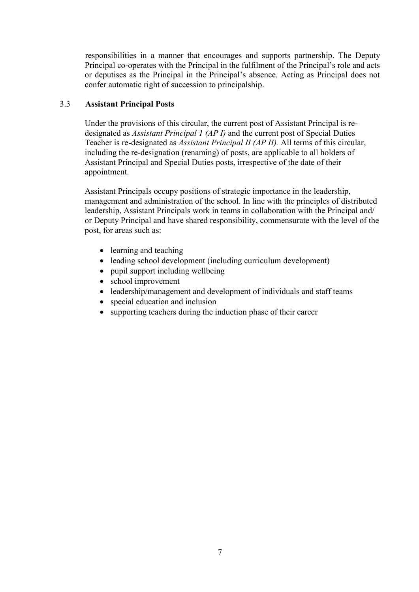responsibilities in a manner that encourages and supports partnership. The Deputy Principal co-operates with the Principal in the fulfilment of the Principal's role and acts or deputises as the Principal in the Principal's absence. Acting as Principal does not confer automatic right of succession to principalship.

## 3.3 **Assistant Principal Posts**

Under the provisions of this circular, the current post of Assistant Principal is redesignated as *Assistant Principal 1 (AP I)* and the current post of Special Duties Teacher is re-designated as *Assistant Principal II (AP II).* All terms of this circular, including the re-designation (renaming) of posts, are applicable to all holders of Assistant Principal and Special Duties posts, irrespective of the date of their appointment.

Assistant Principals occupy positions of strategic importance in the leadership, management and administration of the school. In line with the principles of distributed leadership, Assistant Principals work in teams in collaboration with the Principal and/ or Deputy Principal and have shared responsibility, commensurate with the level of the post, for areas such as:

- learning and teaching
- leading school development (including curriculum development)
- pupil support including wellbeing
- school improvement
- leadership/management and development of individuals and staff teams
- special education and inclusion
- supporting teachers during the induction phase of their career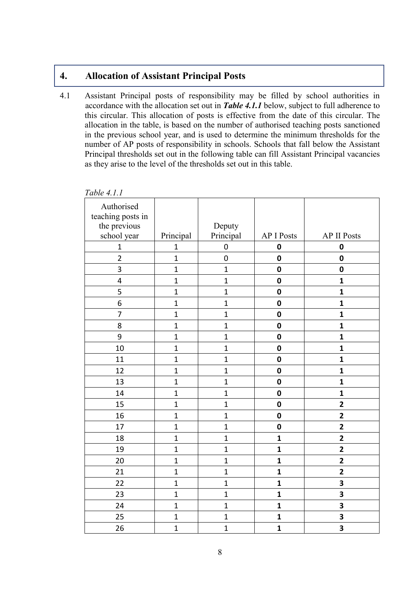# <span id="page-7-0"></span>**4. Allocation of Assistant Principal Posts**

4.1 Assistant Principal posts of responsibility may be filled by school authorities in accordance with the allocation set out in *Table 4.1.1* below, subject to full adherence to this circular. This allocation of posts is effective from the date of this circular. The allocation in the table, is based on the number of authorised teaching posts sanctioned in the previous school year, and is used to determine the minimum thresholds for the number of AP posts of responsibility in schools. Schools that fall below the Assistant Principal thresholds set out in the following table can fill Assistant Principal vacancies as they arise to the level of the thresholds set out in this table.

| Authorised<br>teaching posts in<br>the previous |                | Deputy       |                   |                         |
|-------------------------------------------------|----------------|--------------|-------------------|-------------------------|
| school year                                     | Principal      | Principal    | <b>AP I Posts</b> | <b>AP II Posts</b>      |
| $\mathbf{1}$                                    | $\mathbf{1}$   | $\pmb{0}$    | $\mathbf 0$       | $\mathbf 0$             |
| $\overline{2}$                                  | $\mathbf{1}$   | $\mathbf 0$  | $\mathbf 0$       | $\mathbf 0$             |
| 3                                               | $\mathbf{1}$   | $\mathbf{1}$ | $\mathbf 0$       | $\pmb{0}$               |
| 4                                               | $\mathbf{1}$   | $\mathbf{1}$ | $\mathbf 0$       | $\mathbf{1}$            |
| 5                                               | $\mathbf{1}$   | $\mathbf{1}$ | $\mathbf 0$       | $\mathbf{1}$            |
| 6                                               | $\mathbf{1}$   | $\mathbf{1}$ | $\mathbf 0$       | $\mathbf{1}$            |
| 7                                               | $\mathbf{1}$   | $\mathbf{1}$ | $\mathbf 0$       | $\mathbf{1}$            |
| 8                                               | $\mathbf{1}$   | $\mathbf{1}$ | $\mathbf 0$       | $\mathbf{1}$            |
| 9                                               | $\mathbf{1}$   | $\mathbf{1}$ | $\mathbf 0$       | $\mathbf{1}$            |
| 10                                              | $\overline{1}$ | $\mathbf{1}$ | $\mathbf 0$       | $\mathbf{1}$            |
| 11                                              | $\mathbf{1}$   | $\mathbf{1}$ | $\mathbf 0$       | $\mathbf{1}$            |
| 12                                              | $\mathbf{1}$   | $\mathbf{1}$ | $\pmb{0}$         | $\mathbf{1}$            |
| 13                                              | $\mathbf{1}$   | $\mathbf{1}$ | $\mathbf 0$       | $\mathbf{1}$            |
| 14                                              | $\mathbf{1}$   | $\mathbf{1}$ | $\mathbf 0$       | $\mathbf{1}$            |
| 15                                              | $\mathbf{1}$   | $\mathbf{1}$ | $\mathbf 0$       | $\overline{\mathbf{2}}$ |
| 16                                              | $\mathbf{1}$   | $\mathbf{1}$ | $\mathbf 0$       | $\overline{\mathbf{2}}$ |
| 17                                              | $\mathbf{1}$   | $\mathbf{1}$ | $\mathbf 0$       | $\overline{2}$          |
| 18                                              | $\mathbf{1}$   | $\mathbf{1}$ | $\mathbf{1}$      | $\overline{\mathbf{2}}$ |
| 19                                              | $\mathbf{1}$   | $\mathbf{1}$ | $\mathbf{1}$      | $\overline{\mathbf{2}}$ |
| 20                                              | $\overline{1}$ | $\mathbf{1}$ | $\mathbf{1}$      | $\overline{2}$          |
| 21                                              | $\mathbf{1}$   | $\mathbf{1}$ | $\mathbf{1}$      | $\overline{\mathbf{2}}$ |
| 22                                              | $\mathbf{1}$   | $\mathbf{1}$ | $\mathbf{1}$      | 3                       |
| 23                                              | $\overline{1}$ | $\mathbf{1}$ | $\mathbf{1}$      | 3                       |
| 24                                              | $\mathbf{1}$   | $\mathbf{1}$ | $\mathbf{1}$      | 3                       |
| 25                                              | $\mathbf{1}$   | $\mathbf 1$  | $\mathbf{1}$      | 3                       |
| 26                                              | $\overline{1}$ | $\mathbf{1}$ | $\mathbf{1}$      | 3                       |

*Table 4.1.1*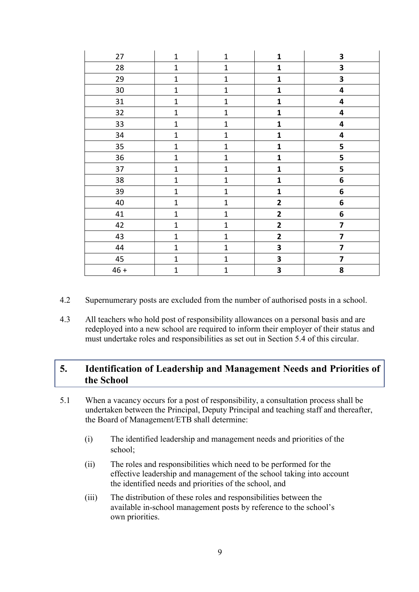| 27     | $\mathbf{1}$ | $\mathbf 1$  | $\mathbf{1}$            | $\overline{\mathbf{3}}$ |
|--------|--------------|--------------|-------------------------|-------------------------|
| 28     | $\mathbf 1$  | $\mathbf 1$  | $\mathbf{1}$            | 3                       |
| 29     | $\mathbf{1}$ | $\mathbf{1}$ | $\mathbf 1$             | $\overline{\mathbf{3}}$ |
| 30     | $\mathbf{1}$ | $\mathbf{1}$ | $\mathbf{1}$            | $\overline{\mathbf{4}}$ |
| 31     | $\mathbf 1$  | $\mathbf{1}$ | $\mathbf{1}$            | 4                       |
| 32     | $\mathbf 1$  | $\mathbf 1$  | $\mathbf{1}$            | $\overline{\mathbf{4}}$ |
| 33     | $\mathbf{1}$ | $\mathbf 1$  | $\mathbf{1}$            | $\overline{\mathbf{4}}$ |
| 34     | $\mathbf 1$  | $\mathbf{1}$ | $\mathbf 1$             | 4                       |
| 35     | $\mathbf 1$  | $\mathbf 1$  | $\mathbf{1}$            | 5                       |
| 36     | $\mathbf 1$  | $\mathbf{1}$ | $\mathbf{1}$            | 5                       |
| 37     | $\mathbf{1}$ | $\mathbf 1$  | $\mathbf{1}$            | 5                       |
| 38     | $\mathbf{1}$ | $\mathbf{1}$ | $\mathbf{1}$            | 6                       |
| 39     | $\mathbf 1$  | $\mathbf 1$  | $\mathbf{1}$            | 6                       |
| 40     | $\mathbf 1$  | $\mathbf 1$  | $\mathbf{2}$            | 6                       |
| 41     | $\mathbf 1$  | $\mathbf 1$  | $\overline{\mathbf{2}}$ | 6                       |
| 42     | $\mathbf 1$  | $\mathbf 1$  | $\mathbf{2}$            | $\overline{\mathbf{z}}$ |
| 43     | $\mathbf{1}$ | $\mathbf 1$  | $\mathbf{2}$            | $\overline{\mathbf{z}}$ |
| 44     | $\mathbf{1}$ | $\mathbf{1}$ | 3                       | 7                       |
| 45     | $\mathbf{1}$ | $\mathbf{1}$ | 3                       | $\overline{\mathbf{z}}$ |
| $46 +$ | $\mathbf{1}$ | $\mathbf 1$  | 3                       | 8                       |

- 4.2 Supernumerary posts are excluded from the number of authorised posts in a school.
- 4.3 All teachers who hold post of responsibility allowances on a personal basis and are redeployed into a new school are required to inform their employer of their status and must undertake roles and responsibilities as set out in Section 5.4 of this circular.

# <span id="page-8-0"></span>**5. Identification of Leadership and Management Needs and Priorities of the School**

- 5.1 When a vacancy occurs for a post of responsibility, a consultation process shall be undertaken between the Principal, Deputy Principal and teaching staff and thereafter, the Board of Management/ETB shall determine:
	- (i) The identified leadership and management needs and priorities of the school;
	- (ii) The roles and responsibilities which need to be performed for the effective leadership and management of the school taking into account the identified needs and priorities of the school, and
	- (iii) The distribution of these roles and responsibilities between the available in-school management posts by reference to the school's own priorities.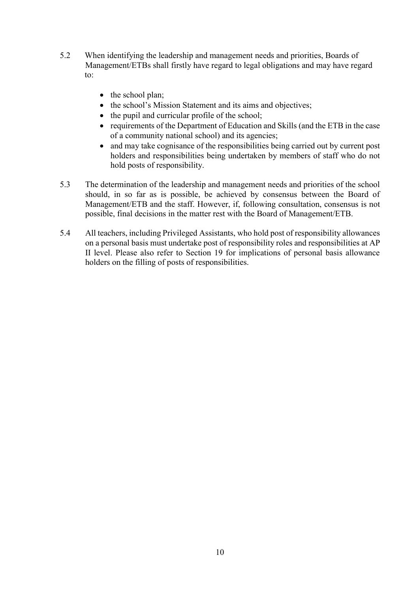- 5.2 When identifying the leadership and management needs and priorities, Boards of Management/ETBs shall firstly have regard to legal obligations and may have regard to:
	- $\bullet$  the school plan;
	- the school's Mission Statement and its aims and objectives;
	- $\bullet$  the pupil and curricular profile of the school;
	- requirements of the Department of Education and Skills (and the ETB in the case of a community national school) and its agencies;
	- and may take cognisance of the responsibilities being carried out by current post holders and responsibilities being undertaken by members of staff who do not hold posts of responsibility.
- 5.3 The determination of the leadership and management needs and priorities of the school should, in so far as is possible, be achieved by consensus between the Board of Management/ETB and the staff. However, if, following consultation, consensus is not possible, final decisions in the matter rest with the Board of Management/ETB.
- 5.4 All teachers, including Privileged Assistants, who hold post of responsibility allowances on a personal basis must undertake post of responsibility roles and responsibilities at AP II level. Please also refer to Section 19 for implications of personal basis allowance holders on the filling of posts of responsibilities.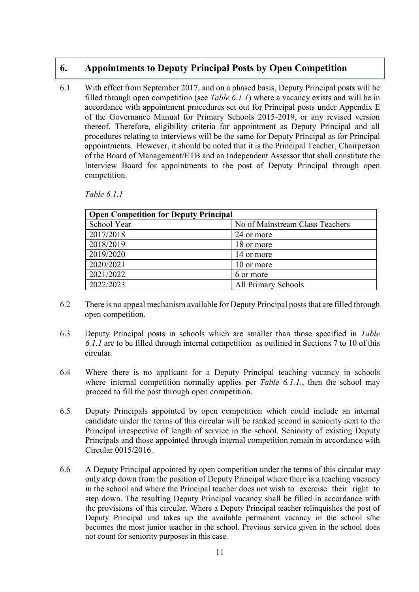## <span id="page-10-0"></span>**6. Appointments to Deputy Principal Posts by Open Competition**

6.1 With effect from September 2017, and on a phased basis, Deputy Principal posts will be filled through open competition (see *Table 6.1.1*) where a vacancy exists and will be in accordance with appointment procedures set out for Principal posts under Appendix E of the Governance Manual for Primary Schools 2015-2019, or any revised version thereof. Therefore, eligibility criteria for appointment as Deputy Principal and all procedures relating to interviews will be the same for Deputy Principal as for Principal appointments. However, it should be noted that it is the Principal Teacher, Chairperson of the Board of Management/ETB and an Independent Assessor that shall constitute the Interview Board for appointments to the post of Deputy Principal through open competition.

*Table 6.1.1*

| <b>Open Competition for Deputy Principal</b> |                                 |  |
|----------------------------------------------|---------------------------------|--|
| School Year                                  | No of Mainstream Class Teachers |  |
| 2017/2018                                    | 24 or more                      |  |
| 2018/2019                                    | 18 or more                      |  |
| 2019/2020                                    | 14 or more                      |  |
| 2020/2021                                    | 10 or more                      |  |
| 2021/2022                                    | 6 or more                       |  |
| 2022/2023                                    | <b>All Primary Schools</b>      |  |

- 6.2 There is no appeal mechanism available for Deputy Principal posts that are filled through open competition.
- 6.3 Deputy Principal posts in schools which are smaller than those specified in *Table 6.1.1* are to be filled through internal competition as outlined in Sections 7 to 10 of this circular*.*
- 6.4 Where there is no applicant for a Deputy Principal teaching vacancy in schools where internal competition normally applies per *Table 6.1.1*, then the school may proceed to fill the post through open competition.
- 6.5 Deputy Principals appointed by open competition which could include an internal candidate under the terms of this circular will be ranked second in seniority next to the Principal irrespective of length of service in the school. Seniority of existing Deputy Principals and those appointed through internal competition remain in accordance with Circular 0015/2016.
- 6.6 A Deputy Principal appointed by open competition under the terms of this circular may only step down from the position of Deputy Principal where there is a teaching vacancy in the school and where the Principal teacher does not wish to exercise their right to step down. The resulting Deputy Principal vacancy shall be filled in accordance with the provisions of this circular. Where a Deputy Principal teacher relinquishes the post of Deputy Principal and takes up the available permanent vacancy in the school s/he becomes the most junior teacher in the school. Previous service given in the school does not count for seniority purposes in this case.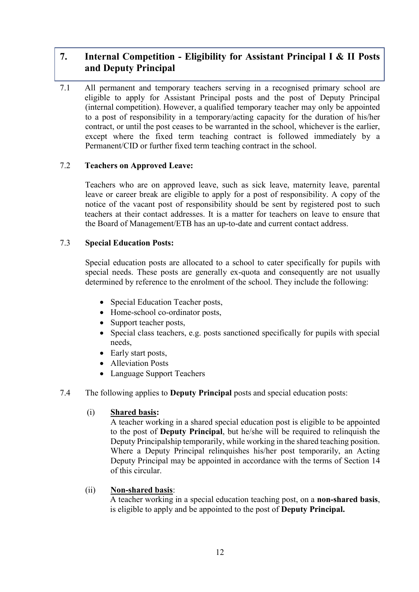# <span id="page-11-0"></span>**7. Internal Competition - Eligibility for Assistant Principal I & II Posts and Deputy Principal**

7.1 All permanent and temporary teachers serving in a recognised primary school are eligible to apply for Assistant Principal posts and the post of Deputy Principal (internal competition). However, a qualified temporary teacher may only be appointed to a post of responsibility in a temporary/acting capacity for the duration of his/her contract, or until the post ceases to be warranted in the school, whichever is the earlier, except where the fixed term teaching contract is followed immediately by a Permanent/CID or further fixed term teaching contract in the school.

## 7.2 **Teachers on Approved Leave:**

Teachers who are on approved leave, such as sick leave, maternity leave, parental leave or career break are eligible to apply for a post of responsibility. A copy of the notice of the vacant post of responsibility should be sent by registered post to such teachers at their contact addresses. It is a matter for teachers on leave to ensure that the Board of Management/ETB has an up-to-date and current contact address.

## 7.3 **Special Education Posts:**

Special education posts are allocated to a school to cater specifically for pupils with special needs. These posts are generally ex-quota and consequently are not usually determined by reference to the enrolment of the school. They include the following:

- Special Education Teacher posts,
- Home-school co-ordinator posts,
- Support teacher posts,
- Special class teachers, e.g. posts sanctioned specifically for pupils with special needs,
- Early start posts,
- Alleviation Posts
- Language Support Teachers
- 7.4 The following applies to **Deputy Principal** posts and special education posts:

#### (i) **Shared basis:**

A teacher working in a shared special education post is eligible to be appointed to the post of **Deputy Principal**, but he/she will be required to relinquish the Deputy Principalship temporarily, while working in the shared teaching position. Where a Deputy Principal relinquishes his/her post temporarily, an Acting Deputy Principal may be appointed in accordance with the terms of Section 14 of this circular.

#### (ii) **Non-shared basis**:

A teacher working in a special education teaching post, on a **non-shared basis**, is eligible to apply and be appointed to the post of **Deputy Principal.**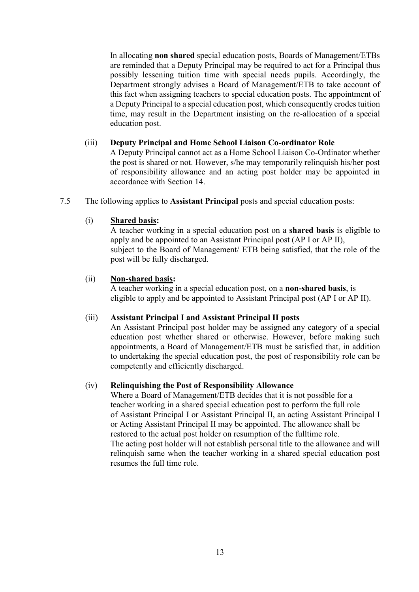In allocating **non shared** special education posts, Boards of Management/ETBs are reminded that a Deputy Principal may be required to act for a Principal thus possibly lessening tuition time with special needs pupils. Accordingly, the Department strongly advises a Board of Management/ETB to take account of this fact when assigning teachers to special education posts. The appointment of a Deputy Principal to a special education post, which consequently erodes tuition time, may result in the Department insisting on the re-allocation of a special education post.

### (iii) **Deputy Principal and Home School Liaison Co-ordinator Role**

A Deputy Principal cannot act as a Home School Liaison Co-Ordinator whether the post is shared or not. However, s/he may temporarily relinquish his/her post of responsibility allowance and an acting post holder may be appointed in accordance with Section 14.

7.5 The following applies to **Assistant Principal** posts and special education posts:

### (i) **Shared basis:**

A teacher working in a special education post on a **shared basis** is eligible to apply and be appointed to an Assistant Principal post (AP I or AP II), subject to the Board of Management/ ETB being satisfied, that the role of the post will be fully discharged.

### (ii) **Non-shared basis:**

A teacher working in a special education post, on a **non-shared basis**, is eligible to apply and be appointed to Assistant Principal post (AP I or AP II).

#### (iii) **Assistant Principal I and Assistant Principal II posts**

An Assistant Principal post holder may be assigned any category of a special education post whether shared or otherwise. However, before making such appointments, a Board of Management/ETB must be satisfied that, in addition to undertaking the special education post, the post of responsibility role can be competently and efficiently discharged.

#### (iv) **Relinquishing the Post of Responsibility Allowance**

Where a Board of Management/ETB decides that it is not possible for a teacher working in a shared special education post to perform the full role of Assistant Principal I or Assistant Principal II, an acting Assistant Principal I or Acting Assistant Principal II may be appointed. The allowance shall be restored to the actual post holder on resumption of the fulltime role. The acting post holder will not establish personal title to the allowance and will relinquish same when the teacher working in a shared special education post resumes the full time role.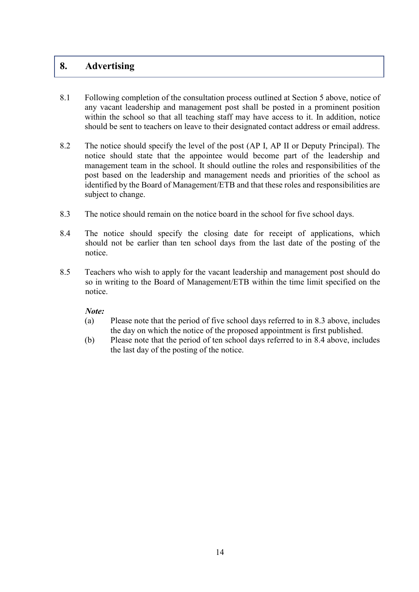## <span id="page-13-0"></span>**8. Advertising**

- 8.1 Following completion of the consultation process outlined at Section 5 above, notice of any vacant leadership and management post shall be posted in a prominent position within the school so that all teaching staff may have access to it. In addition, notice should be sent to teachers on leave to their designated contact address or email address.
- 8.2 The notice should specify the level of the post (AP I, AP II or Deputy Principal). The notice should state that the appointee would become part of the leadership and management team in the school. It should outline the roles and responsibilities of the post based on the leadership and management needs and priorities of the school as identified by the Board of Management/ETB and that these roles and responsibilities are subject to change.
- 8.3 The notice should remain on the notice board in the school for five school days.
- 8.4 The notice should specify the closing date for receipt of applications, which should not be earlier than ten school days from the last date of the posting of the notice.
- 8.5 Teachers who wish to apply for the vacant leadership and management post should do so in writing to the Board of Management/ETB within the time limit specified on the notice.

#### *Note:*

- (a) Please note that the period of five school days referred to in 8.3 above, includes the day on which the notice of the proposed appointment is first published.
- (b) Please note that the period of ten school days referred to in 8.4 above, includes the last day of the posting of the notice.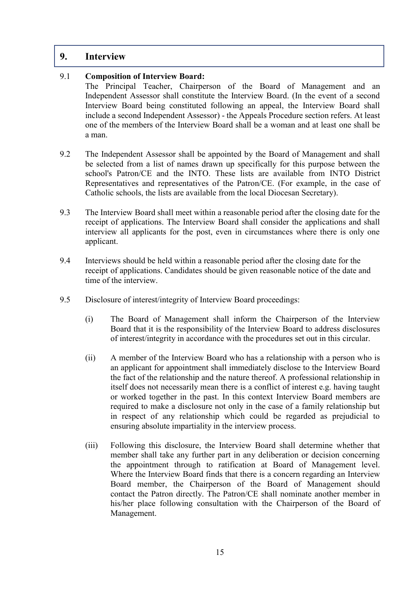## <span id="page-14-0"></span>**9. Interview**

## 9.1 **Composition of Interview Board:**

The Principal Teacher, Chairperson of the Board of Management and an Independent Assessor shall constitute the Interview Board. (In the event of a second Interview Board being constituted following an appeal, the Interview Board shall include a second Independent Assessor) - the Appeals Procedure section refers. At least one of the members of the Interview Board shall be a woman and at least one shall be a man.

- 9.2 The Independent Assessor shall be appointed by the Board of Management and shall be selected from a list of names drawn up specifically for this purpose between the school's Patron/CE and the INTO. These lists are available from INTO District Representatives and representatives of the Patron/CE. (For example, in the case of Catholic schools, the lists are available from the local Diocesan Secretary).
- 9.3 The Interview Board shall meet within a reasonable period after the closing date for the receipt of applications. The Interview Board shall consider the applications and shall interview all applicants for the post, even in circumstances where there is only one applicant.
- 9.4 Interviews should be held within a reasonable period after the closing date for the receipt of applications. Candidates should be given reasonable notice of the date and time of the interview.
- 9.5 Disclosure of interest/integrity of Interview Board proceedings:
	- (i) The Board of Management shall inform the Chairperson of the Interview Board that it is the responsibility of the Interview Board to address disclosures of interest/integrity in accordance with the procedures set out in this circular.
	- (ii) A member of the Interview Board who has a relationship with a person who is an applicant for appointment shall immediately disclose to the Interview Board the fact of the relationship and the nature thereof. A professional relationship in itself does not necessarily mean there is a conflict of interest e.g. having taught or worked together in the past. In this context Interview Board members are required to make a disclosure not only in the case of a family relationship but in respect of any relationship which could be regarded as prejudicial to ensuring absolute impartiality in the interview process.
	- (iii) Following this disclosure, the Interview Board shall determine whether that member shall take any further part in any deliberation or decision concerning the appointment through to ratification at Board of Management level. Where the Interview Board finds that there is a concern regarding an Interview Board member, the Chairperson of the Board of Management should contact the Patron directly. The Patron/CE shall nominate another member in his/her place following consultation with the Chairperson of the Board of Management.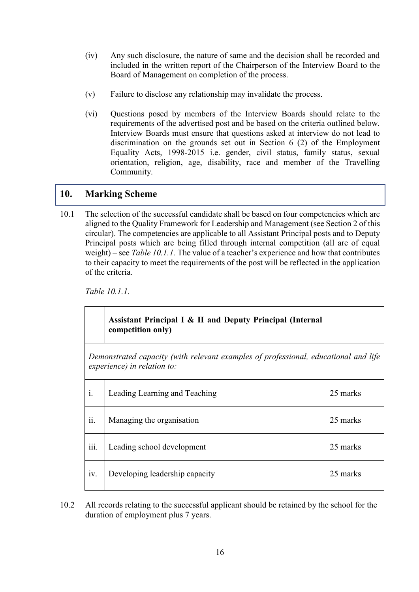- (iv) Any such disclosure, the nature of same and the decision shall be recorded and included in the written report of the Chairperson of the Interview Board to the Board of Management on completion of the process.
- (v) Failure to disclose any relationship may invalidate the process.
- (vi) Questions posed by members of the Interview Boards should relate to the requirements of the advertised post and be based on the criteria outlined below. Interview Boards must ensure that questions asked at interview do not lead to discrimination on the grounds set out in Section 6 (2) of the Employment Equality Acts, 1998-2015 i.e. gender, civil status, family status, sexual orientation, religion, age, disability, race and member of the Travelling Community.

# <span id="page-15-0"></span>**10. Marking Scheme**

10.1 The selection of the successful candidate shall be based on four competencies which are aligned to the Quality Framework for Leadership and Management (see Section 2 of this circular). The competencies are applicable to all Assistant Principal posts and to Deputy Principal posts which are being filled through internal competition (all are of equal weight) – see *Table 10.1.1.* The value of a teacher's experience and how that contributes to their capacity to meet the requirements of the post will be reflected in the application of the criteria.

*Table 10.1.1.*

|                                                                                                                    | Assistant Principal I & II and Deputy Principal (Internal<br>competition only) |          |
|--------------------------------------------------------------------------------------------------------------------|--------------------------------------------------------------------------------|----------|
| Demonstrated capacity (with relevant examples of professional, educational and life<br>experience) in relation to: |                                                                                |          |
| $\mathbf{i}$ .                                                                                                     | Leading Learning and Teaching                                                  | 25 marks |
| ii.                                                                                                                | Managing the organisation                                                      | 25 marks |
| iii.                                                                                                               | Leading school development                                                     | 25 marks |
| 1V.                                                                                                                | Developing leadership capacity                                                 | 25 marks |

10.2 All records relating to the successful applicant should be retained by the school for the duration of employment plus 7 years.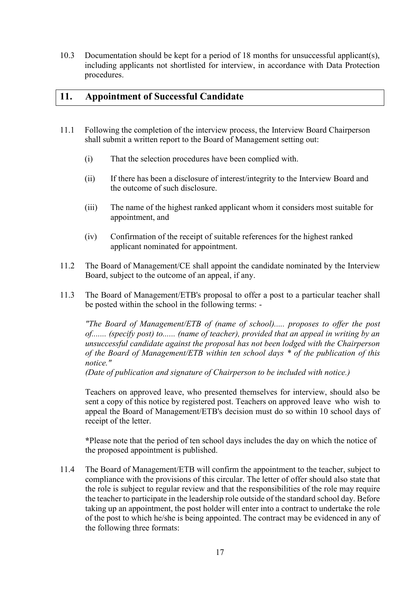10.3 Documentation should be kept for a period of 18 months for unsuccessful applicant(s), including applicants not shortlisted for interview, in accordance with Data Protection procedures.

# <span id="page-16-0"></span>**11. Appointment of Successful Candidate**

- 11.1 Following the completion of the interview process, the Interview Board Chairperson shall submit a written report to the Board of Management setting out:
	- (i) That the selection procedures have been complied with.
	- (ii) If there has been a disclosure of interest/integrity to the Interview Board and the outcome of such disclosure.
	- (iii) The name of the highest ranked applicant whom it considers most suitable for appointment, and
	- (iv) Confirmation of the receipt of suitable references for the highest ranked applicant nominated for appointment.
- 11.2 The Board of Management/CE shall appoint the candidate nominated by the Interview Board, subject to the outcome of an appeal, if any.
- 11.3 The Board of Management/ETB's proposal to offer a post to a particular teacher shall be posted within the school in the following terms: -

*"The Board of Management/ETB of (name of school)..... proposes to offer the post of....... (specify post) to...... (name of teacher), provided that an appeal in writing by an unsuccessful candidate against the proposal has not been lodged with the Chairperson of the Board of Management/ETB within ten school days \* of the publication of this notice."*

*(Date of publication and signature of Chairperson to be included with notice.)*

Teachers on approved leave, who presented themselves for interview, should also be sent a copy of this notice by registered post. Teachers on approved leave who wish to appeal the Board of Management/ETB's decision must do so within 10 school days of receipt of the letter.

**\***Please note that the period of ten school days includes the day on which the notice of the proposed appointment is published.

11.4 The Board of Management/ETB will confirm the appointment to the teacher, subject to compliance with the provisions of this circular. The letter of offer should also state that the role is subject to regular review and that the responsibilities of the role may require the teacher to participate in the leadership role outside of the standard school day. Before taking up an appointment, the post holder will enter into a contract to undertake the role of the post to which he/she is being appointed. The contract may be evidenced in any of the following three formats: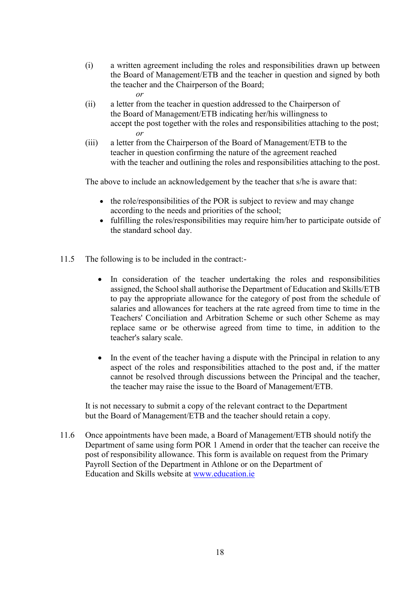- (i) a written agreement including the roles and responsibilities drawn up between the Board of Management/ETB and the teacher in question and signed by both the teacher and the Chairperson of the Board;
	- *or*
- (ii) a letter from the teacher in question addressed to the Chairperson of the Board of Management/ETB indicating her/his willingness to accept the post together with the roles and responsibilities attaching to the post; *or*
- (iii) a letter from the Chairperson of the Board of Management/ETB to the teacher in question confirming the nature of the agreement reached with the teacher and outlining the roles and responsibilities attaching to the post.

The above to include an acknowledgement by the teacher that s/he is aware that:

- the role/responsibilities of the POR is subject to review and may change according to the needs and priorities of the school;
- fulfilling the roles/responsibilities may require him/her to participate outside of the standard school day.
- 11.5 The following is to be included in the contract:-
	- In consideration of the teacher undertaking the roles and responsibilities assigned, the School shall authorise the Department of Education and Skills/ETB to pay the appropriate allowance for the category of post from the schedule of salaries and allowances for teachers at the rate agreed from time to time in the Teachers' Conciliation and Arbitration Scheme or such other Scheme as may replace same or be otherwise agreed from time to time, in addition to the teacher's salary scale.
	- In the event of the teacher having a dispute with the Principal in relation to any aspect of the roles and responsibilities attached to the post and, if the matter cannot be resolved through discussions between the Principal and the teacher, the teacher may raise the issue to the Board of Management/ETB.

It is not necessary to submit a copy of the relevant contract to the Department but the Board of Management/ETB and the teacher should retain a copy.

11.6 Once appointments have been made, a Board of Management/ETB should notify the Department of same using form POR 1 Amend in order that the teacher can receive the post of responsibility allowance. This form is available on request from the Primary Payroll Section of the Department in Athlone or on the Department of Education and Skills website at [www.education.ie](http://www.education.ie/)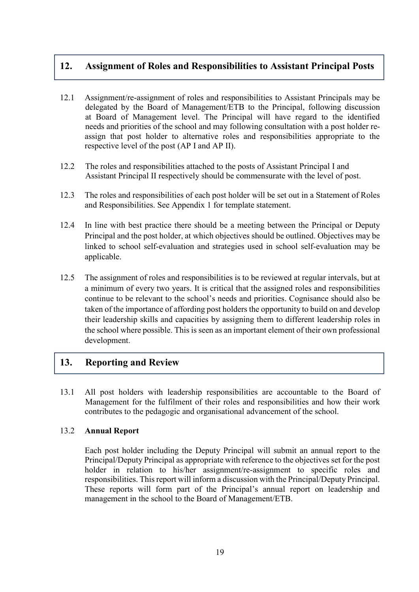# <span id="page-18-0"></span>**12. Assignment of Roles and Responsibilities to Assistant Principal Posts**

- 12.1 Assignment/re-assignment of roles and responsibilities to Assistant Principals may be delegated by the Board of Management/ETB to the Principal, following discussion at Board of Management level. The Principal will have regard to the identified needs and priorities of the school and may following consultation with a post holder reassign that post holder to alternative roles and responsibilities appropriate to the respective level of the post (AP I and AP II).
- 12.2 The roles and responsibilities attached to the posts of Assistant Principal I and Assistant Principal II respectively should be commensurate with the level of post.
- 12.3 The roles and responsibilities of each post holder will be set out in a Statement of Roles and Responsibilities. See Appendix 1 for template statement.
- 12.4 In line with best practice there should be a meeting between the Principal or Deputy Principal and the post holder, at which objectives should be outlined. Objectives may be linked to school self-evaluation and strategies used in school self-evaluation may be applicable.
- 12.5 The assignment of roles and responsibilities is to be reviewed at regular intervals, but at a minimum of every two years. It is critical that the assigned roles and responsibilities continue to be relevant to the school's needs and priorities. Cognisance should also be taken of the importance of affording post holders the opportunity to build on and develop their leadership skills and capacities by assigning them to different leadership roles in the school where possible. This is seen as an important element of their own professional development.

## <span id="page-18-1"></span>**13. Reporting and Review**

13.1 All post holders with leadership responsibilities are accountable to the Board of Management for the fulfilment of their roles and responsibilities and how their work contributes to the pedagogic and organisational advancement of the school.

## 13.2 **Annual Report**

Each post holder including the Deputy Principal will submit an annual report to the Principal/Deputy Principal as appropriate with reference to the objectives set for the post holder in relation to his/her assignment/re-assignment to specific roles and responsibilities. This report will inform a discussion with the Principal/Deputy Principal. These reports will form part of the Principal's annual report on leadership and management in the school to the Board of Management/ETB.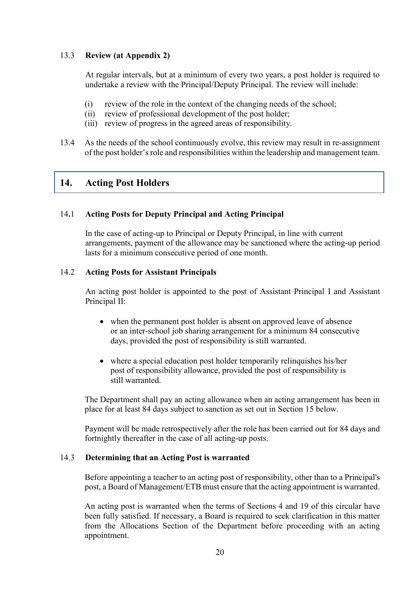## 13.3 **Review (at Appendix 2)**

At regular intervals, but at a minimum of every two years, a post holder is required to undertake a review with the Principal/Deputy Principal. The review will include:

- (i) review of the role in the context of the changing needs of the school;
- (ii) review of professional development of the post holder;
- (iii) review of progress in the agreed areas of responsibility.
- 13.4 As the needs of the school continuously evolve, this review may result in re-assignment of the post holder's role and responsibilities within the leadership and management team.

## <span id="page-19-0"></span>**14. Acting Post Holders**

### 14**.**1 **Acting Posts for Deputy Principal and Acting Principal**

In the case of acting-up to Principal or Deputy Principal, in line with current arrangements, payment of the allowance may be sanctioned where the acting-up period lasts for a minimum consecutive period of one month.

### 14.2 **Acting Posts for Assistant Principals**

An acting post holder is appointed to the post of Assistant Principal I and Assistant Principal II:

- when the permanent post holder is absent on approved leave of absence or an inter-school job sharing arrangement for a minimum 84 consecutive days, provided the post of responsibility is still warranted.
- where a special education post holder temporarily relinquishes his/her post of responsibility allowance, provided the post of responsibility is still warranted.

The Department shall pay an acting allowance when an acting arrangement has been in place for at least 84 days subject to sanction as set out in Section 15 below.

Payment will be made retrospectively after the role has been carried out for 84 days and fortnightly thereafter in the case of all acting-up posts.

#### 14.3 **Determining that an Acting Post is warranted**

Before appointing a teacher to an acting post of responsibility, other than to a Principal's post, a Board of Management/ETB must ensure that the acting appointment is warranted.

An acting post is warranted when the terms of Sections 4 and 19 of this circular have been fully satisfied. If necessary, a Board is required to seek clarification in this matter from the Allocations Section of the Department before proceeding with an acting appointment.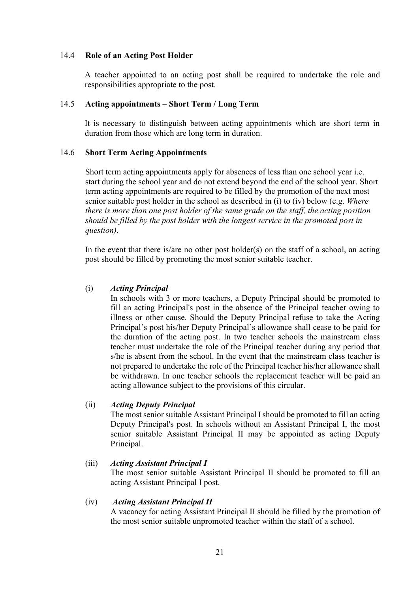#### 14.4 **Role of an Acting Post Holder**

A teacher appointed to an acting post shall be required to undertake the role and responsibilities appropriate to the post.

#### 14.5 **Acting appointments – Short Term / Long Term**

It is necessary to distinguish between acting appointments which are short term in duration from those which are long term in duration.

#### 14.6 **Short Term Acting Appointments**

Short term acting appointments apply for absences of less than one school year i.e. start during the school year and do not extend beyond the end of the school year. Short term acting appointments are required to be filled by the promotion of the next most senior suitable post holder in the school as described in (i) to (iv) below (e.g. *Where there is more than one post holder of the same grade on the staff, the acting position should be filled by the post holder with the longest service in the promoted post in question)*.

In the event that there is/are no other post holder(s) on the staff of a school, an acting post should be filled by promoting the most senior suitable teacher.

#### (i) *Acting Principal*

In schools with 3 or more teachers, a Deputy Principal should be promoted to fill an acting Principal's post in the absence of the Principal teacher owing to illness or other cause. Should the Deputy Principal refuse to take the Acting Principal's post his/her Deputy Principal's allowance shall cease to be paid for the duration of the acting post. In two teacher schools the mainstream class teacher must undertake the role of the Principal teacher during any period that s/he is absent from the school. In the event that the mainstream class teacher is not prepared to undertake the role of the Principal teacher his/her allowance shall be withdrawn. In one teacher schools the replacement teacher will be paid an acting allowance subject to the provisions of this circular.

#### (ii) *Acting Deputy Principal*

The most senior suitable Assistant Principal Ishould be promoted to fill an acting Deputy Principal's post. In schools without an Assistant Principal I, the most senior suitable Assistant Principal II may be appointed as acting Deputy Principal.

#### (iii) *Acting Assistant Principal I*

The most senior suitable Assistant Principal II should be promoted to fill an acting Assistant Principal I post.

#### (iv) *Acting Assistant Principal II*

A vacancy for acting Assistant Principal II should be filled by the promotion of the most senior suitable unpromoted teacher within the staff of a school.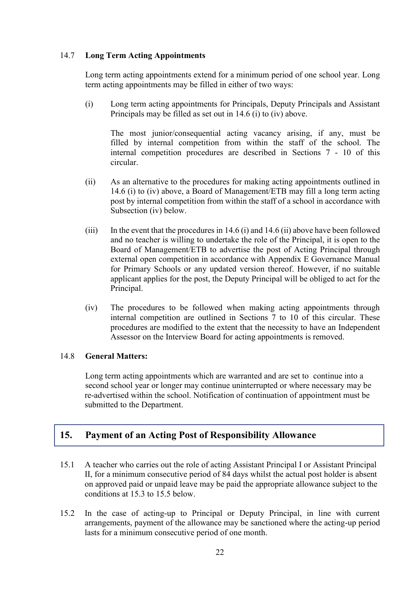## 14.7 **Long Term Acting Appointments**

Long term acting appointments extend for a minimum period of one school year. Long term acting appointments may be filled in either of two ways:

(i) Long term acting appointments for Principals, Deputy Principals and Assistant Principals may be filled as set out in 14.6 (i) to (iv) above.

The most junior/consequential acting vacancy arising, if any, must be filled by internal competition from within the staff of the school. The internal competition procedures are described in Sections 7 - 10 of this circular.

- (ii) As an alternative to the procedures for making acting appointments outlined in 14.6 (i) to (iv) above, a Board of Management/ETB may fill a long term acting post by internal competition from within the staff of a school in accordance with Subsection (iv) below.
- (iii) In the event that the procedures in 14.6 (i) and 14.6 (ii) above have been followed and no teacher is willing to undertake the role of the Principal, it is open to the Board of Management/ETB to advertise the post of Acting Principal through external open competition in accordance with Appendix E Governance Manual for Primary Schools or any updated version thereof. However, if no suitable applicant applies for the post, the Deputy Principal will be obliged to act for the Principal.
- (iv) The procedures to be followed when making acting appointments through internal competition are outlined in Sections 7 to 10 of this circular. These procedures are modified to the extent that the necessity to have an Independent Assessor on the Interview Board for acting appointments is removed.

## 14.8 **General Matters:**

Long term acting appointments which are warranted and are set to continue into a second school year or longer may continue uninterrupted or where necessary may be re-advertised within the school. Notification of continuation of appointment must be submitted to the Department.

# <span id="page-21-0"></span>**15. Payment of an Acting Post of Responsibility Allowance**

- 15.1 A teacher who carries out the role of acting Assistant Principal I or Assistant Principal II, for a minimum consecutive period of 84 days whilst the actual post holder is absent on approved paid or unpaid leave may be paid the appropriate allowance subject to the conditions at 15.3 to 15.5 below.
- 15.2 In the case of acting-up to Principal or Deputy Principal, in line with current arrangements, payment of the allowance may be sanctioned where the acting-up period lasts for a minimum consecutive period of one month.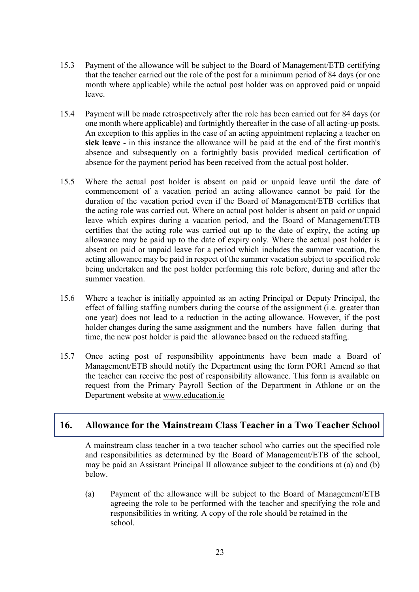- 15.3 Payment of the allowance will be subject to the Board of Management/ETB certifying that the teacher carried out the role of the post for a minimum period of 84 days (or one month where applicable) while the actual post holder was on approved paid or unpaid leave.
- 15.4 Payment will be made retrospectively after the role has been carried out for 84 days (or one month where applicable) and fortnightly thereafter in the case of all acting-up posts. An exception to this applies in the case of an acting appointment replacing a teacher on **sick leave** - in this instance the allowance will be paid at the end of the first month's absence and subsequently on a fortnightly basis provided medical certification of absence for the payment period has been received from the actual post holder.
- 15.5 Where the actual post holder is absent on paid or unpaid leave until the date of commencement of a vacation period an acting allowance cannot be paid for the duration of the vacation period even if the Board of Management/ETB certifies that the acting role was carried out. Where an actual post holder is absent on paid or unpaid leave which expires during a vacation period, and the Board of Management/ETB certifies that the acting role was carried out up to the date of expiry, the acting up allowance may be paid up to the date of expiry only. Where the actual post holder is absent on paid or unpaid leave for a period which includes the summer vacation, the acting allowance may be paid in respect of the summer vacation subject to specified role being undertaken and the post holder performing this role before, during and after the summer vacation.
- 15.6 Where a teacher is initially appointed as an acting Principal or Deputy Principal, the effect of falling staffing numbers during the course of the assignment (i.e. greater than one year) does not lead to a reduction in the acting allowance. However, if the post holder changes during the same assignment and the numbers have fallen during that time, the new post holder is paid the allowance based on the reduced staffing.
- 15.7 Once acting post of responsibility appointments have been made a Board of Management/ETB should notify the Department using the form POR1 Amend so that the teacher can receive the post of responsibility allowance. This form is available on request from the Primary Payroll Section of the Department in Athlone or on the Department website at [www.education.ie](http://www.education.ie/)

## **16. Allowance for the Mainstream Class Teacher in a Two Teacher School**

<span id="page-22-0"></span>A mainstream class teacher in a two teacher school who carries out the specified role and responsibilities as determined by the Board of Management/ETB of the school, may be paid an Assistant Principal II allowance subject to the conditions at (a) and (b) below.

(a) Payment of the allowance will be subject to the Board of Management/ETB agreeing the role to be performed with the teacher and specifying the role and responsibilities in writing. A copy of the role should be retained in the school.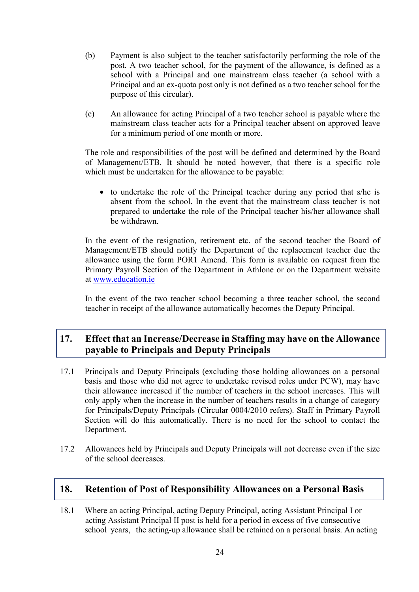- (b) Payment is also subject to the teacher satisfactorily performing the role of the post. A two teacher school, for the payment of the allowance, is defined as a school with a Principal and one mainstream class teacher (a school with a Principal and an ex-quota post only is not defined as a two teacher school for the purpose of this circular).
- (c) An allowance for acting Principal of a two teacher school is payable where the mainstream class teacher acts for a Principal teacher absent on approved leave for a minimum period of one month or more.

The role and responsibilities of the post will be defined and determined by the Board of Management/ETB. It should be noted however, that there is a specific role which must be undertaken for the allowance to be payable:

• to undertake the role of the Principal teacher during any period that s/he is absent from the school. In the event that the mainstream class teacher is not prepared to undertake the role of the Principal teacher his/her allowance shall be withdrawn.

In the event of the resignation, retirement etc. of the second teacher the Board of Management/ETB should notify the Department of the replacement teacher due the allowance using the form POR1 Amend. This form is available on request from the Primary Payroll Section of the Department in Athlone or on the Department website at [www.education.ie](http://www.education.ie/)

In the event of the two teacher school becoming a three teacher school, the second teacher in receipt of the allowance automatically becomes the Deputy Principal.

# <span id="page-23-0"></span>**17. Effect that an Increase/Decrease in Staffing may have on the Allowance payable to Principals and Deputy Principals**

- 17.1 Principals and Deputy Principals (excluding those holding allowances on a personal basis and those who did not agree to undertake revised roles under PCW), may have their allowance increased if the number of teachers in the school increases. This will only apply when the increase in the number of teachers results in a change of category for Principals/Deputy Principals (Circular 0004/2010 refers). Staff in Primary Payroll Section will do this automatically. There is no need for the school to contact the Department.
- 17.2 Allowances held by Principals and Deputy Principals will not decrease even if the size of the school decreases.

## <span id="page-23-1"></span>**18. Retention of Post of Responsibility Allowances on a Personal Basis**

18.1 Where an acting Principal, acting Deputy Principal, acting Assistant Principal I or acting Assistant Principal II post is held for a period in excess of five consecutive school years, the acting-up allowance shall be retained on a personal basis. An acting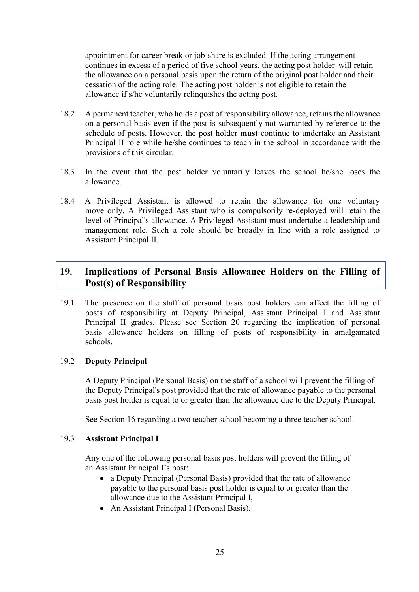appointment for career break or job-share is excluded. If the acting arrangement continues in excess of a period of five school years, the acting post holder will retain the allowance on a personal basis upon the return of the original post holder and their cessation of the acting role. The acting post holder is not eligible to retain the allowance if s/he voluntarily relinquishes the acting post.

- 18.2 A permanent teacher, who holds a post of responsibility allowance, retains the allowance on a personal basis even if the post is subsequently not warranted by reference to the schedule of posts. However, the post holder **must** continue to undertake an Assistant Principal II role while he/she continues to teach in the school in accordance with the provisions of this circular.
- 18.3 In the event that the post holder voluntarily leaves the school he/she loses the allowance.
- 18.4 A Privileged Assistant is allowed to retain the allowance for one voluntary move only. A Privileged Assistant who is compulsorily re-deployed will retain the level of Principal's allowance. A Privileged Assistant must undertake a leadership and management role. Such a role should be broadly in line with a role assigned to Assistant Principal II.

# <span id="page-24-0"></span>**19. Implications of Personal Basis Allowance Holders on the Filling of Post(s) of Responsibility**

19.1 The presence on the staff of personal basis post holders can affect the filling of posts of responsibility at Deputy Principal, Assistant Principal I and Assistant Principal II grades. Please see Section 20 regarding the implication of personal basis allowance holders on filling of posts of responsibility in amalgamated schools.

## 19.2 **Deputy Principal**

A Deputy Principal (Personal Basis) on the staff of a school will prevent the filling of the Deputy Principal's post provided that the rate of allowance payable to the personal basis post holder is equal to or greater than the allowance due to the Deputy Principal.

See Section 16 regarding a two teacher school becoming a three teacher school.

#### 19.3 **Assistant Principal I**

Any one of the following personal basis post holders will prevent the filling of an Assistant Principal I's post:

- a Deputy Principal (Personal Basis) provided that the rate of allowance payable to the personal basis post holder is equal to or greater than the allowance due to the Assistant Principal I,
- An Assistant Principal I (Personal Basis).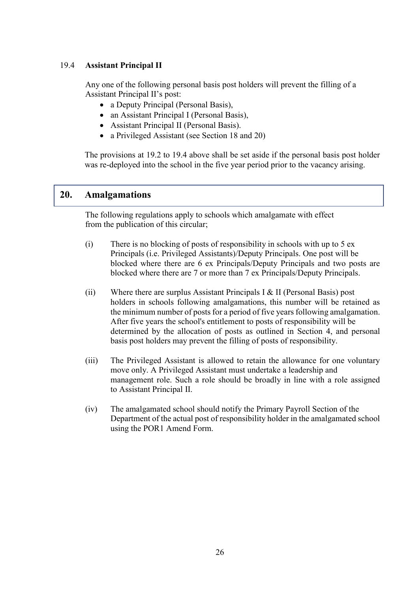## 19.4 **Assistant Principal II**

Any one of the following personal basis post holders will prevent the filling of a Assistant Principal II's post:

- a Deputy Principal (Personal Basis),
- an Assistant Principal I (Personal Basis).
- Assistant Principal II (Personal Basis).
- a Privileged Assistant (see Section 18 and 20)

The provisions at 19.2 to 19.4 above shall be set aside if the personal basis post holder was re-deployed into the school in the five year period prior to the vacancy arising.

## **20. Amalgamations**

<span id="page-25-0"></span>The following regulations apply to schools which amalgamate with effect from the publication of this circular;

- (i) There is no blocking of posts of responsibility in schools with up to 5 ex Principals (i.e. Privileged Assistants)/Deputy Principals. One post will be blocked where there are 6 ex Principals/Deputy Principals and two posts are blocked where there are 7 or more than 7 ex Principals/Deputy Principals.
- (ii) Where there are surplus Assistant Principals I & II (Personal Basis) post holders in schools following amalgamations, this number will be retained as the minimum number of posts for a period of five years following amalgamation. After five years the school's entitlement to posts of responsibility will be determined by the allocation of posts as outlined in Section 4, and personal basis post holders may prevent the filling of posts of responsibility.
- (iii) The Privileged Assistant is allowed to retain the allowance for one voluntary move only. A Privileged Assistant must undertake a leadership and management role. Such a role should be broadly in line with a role assigned to Assistant Principal II.
- (iv) The amalgamated school should notify the Primary Payroll Section of the Department of the actual post of responsibility holder in the amalgamated school using the POR1 Amend Form.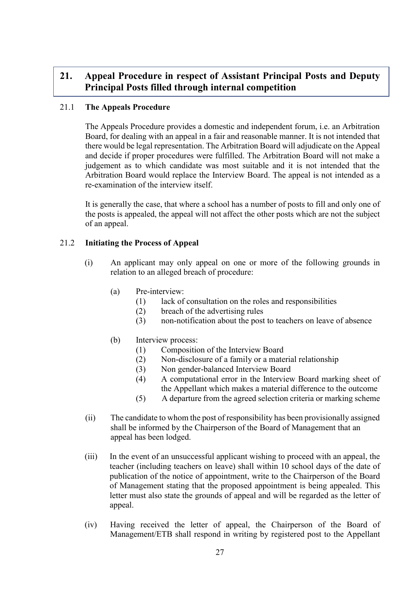# <span id="page-26-0"></span>**21. Appeal Procedure in respect of Assistant Principal Posts and Deputy Principal Posts filled through internal competition**

## 21.1 **The Appeals Procedure**

The Appeals Procedure provides a domestic and independent forum, i.e. an Arbitration Board, for dealing with an appeal in a fair and reasonable manner. It is not intended that there would be legal representation. The Arbitration Board will adjudicate on the Appeal and decide if proper procedures were fulfilled. The Arbitration Board will not make a judgement as to which candidate was most suitable and it is not intended that the Arbitration Board would replace the Interview Board. The appeal is not intended as a re-examination of the interview itself.

It is generally the case, that where a school has a number of posts to fill and only one of the posts is appealed, the appeal will not affect the other posts which are not the subject of an appeal.

## 21.2 **Initiating the Process of Appeal**

- (i) An applicant may only appeal on one or more of the following grounds in relation to an alleged breach of procedure:
	- (a) Pre-interview:
		- (1) lack of consultation on the roles and responsibilities
		- (2) breach of the advertising rules
		- (3) non-notification about the post to teachers on leave of absence
	- (b) Interview process:
		- (1) Composition of the Interview Board
		- (2) Non-disclosure of a family or a material relationship
		- (3) Non gender-balanced Interview Board
		- (4) A computational error in the Interview Board marking sheet of the Appellant which makes a material difference to the outcome
		- (5) A departure from the agreed selection criteria or marking scheme
- (ii) The candidate to whom the post of responsibility has been provisionally assigned shall be informed by the Chairperson of the Board of Management that an appeal has been lodged.
- (iii) In the event of an unsuccessful applicant wishing to proceed with an appeal, the teacher (including teachers on leave) shall within 10 school days of the date of publication of the notice of appointment, write to the Chairperson of the Board of Management stating that the proposed appointment is being appealed. This letter must also state the grounds of appeal and will be regarded as the letter of appeal.
- (iv) Having received the letter of appeal, the Chairperson of the Board of Management/ETB shall respond in writing by registered post to the Appellant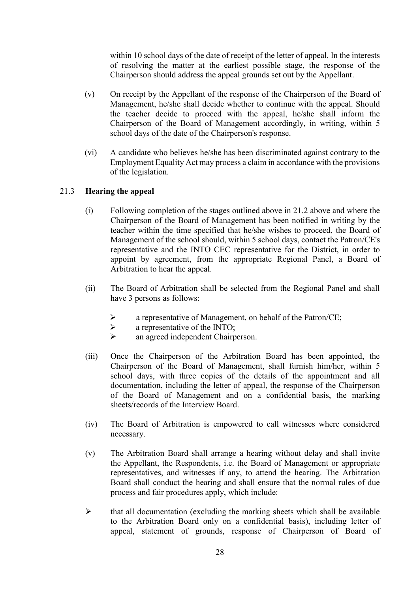within 10 school days of the date of receipt of the letter of appeal. In the interests of resolving the matter at the earliest possible stage, the response of the Chairperson should address the appeal grounds set out by the Appellant.

- (v) On receipt by the Appellant of the response of the Chairperson of the Board of Management, he/she shall decide whether to continue with the appeal. Should the teacher decide to proceed with the appeal, he/she shall inform the Chairperson of the Board of Management accordingly, in writing, within 5 school days of the date of the Chairperson's response.
- (vi) A candidate who believes he/she has been discriminated against contrary to the Employment Equality Act may process a claim in accordance with the provisions of the legislation.

## 21.3 **Hearing the appeal**

- (i) Following completion of the stages outlined above in 21.2 above and where the Chairperson of the Board of Management has been notified in writing by the teacher within the time specified that he/she wishes to proceed, the Board of Management of the school should, within 5 school days, contact the Patron/CE's representative and the INTO CEC representative for the District, in order to appoint by agreement, from the appropriate Regional Panel, a Board of Arbitration to hear the appeal.
- (ii) The Board of Arbitration shall be selected from the Regional Panel and shall have 3 persons as follows:
	- a representative of Management, on behalf of the Patron/CE;
	- $\triangleright$  a representative of the INTO;<br> $\triangleright$  an agreed independent Chairn
	- an agreed independent Chairperson.
- (iii) Once the Chairperson of the Arbitration Board has been appointed, the Chairperson of the Board of Management, shall furnish him/her, within 5 school days, with three copies of the details of the appointment and all documentation, including the letter of appeal, the response of the Chairperson of the Board of Management and on a confidential basis, the marking sheets/records of the Interview Board.
- (iv) The Board of Arbitration is empowered to call witnesses where considered necessary.
- (v) The Arbitration Board shall arrange a hearing without delay and shall invite the Appellant, the Respondents, i.e. the Board of Management or appropriate representatives, and witnesses if any, to attend the hearing. The Arbitration Board shall conduct the hearing and shall ensure that the normal rules of due process and fair procedures apply, which include:
- $\triangleright$  that all documentation (excluding the marking sheets which shall be available to the Arbitration Board only on a confidential basis), including letter of appeal, statement of grounds, response of Chairperson of Board of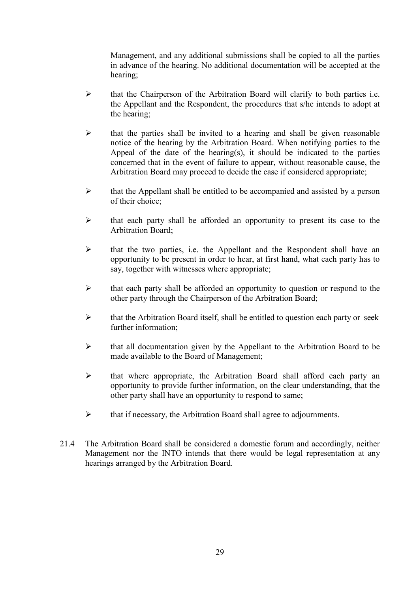Management, and any additional submissions shall be copied to all the parties in advance of the hearing. No additional documentation will be accepted at the hearing;

- $\triangleright$  that the Chairperson of the Arbitration Board will clarify to both parties i.e. the Appellant and the Respondent, the procedures that s/he intends to adopt at the hearing;
- $\triangleright$  that the parties shall be invited to a hearing and shall be given reasonable notice of the hearing by the Arbitration Board. When notifying parties to the Appeal of the date of the hearing(s), it should be indicated to the parties concerned that in the event of failure to appear, without reasonable cause, the Arbitration Board may proceed to decide the case if considered appropriate;
- $\triangleright$  that the Appellant shall be entitled to be accompanied and assisted by a person of their choice;
- $\triangleright$  that each party shall be afforded an opportunity to present its case to the Arbitration Board;
- $\triangleright$  that the two parties, i.e. the Appellant and the Respondent shall have an opportunity to be present in order to hear, at first hand, what each party has to say, together with witnesses where appropriate;
- $\triangleright$  that each party shall be afforded an opportunity to question or respond to the other party through the Chairperson of the Arbitration Board;
- $\triangleright$  that the Arbitration Board itself, shall be entitled to question each party or seek further information;
- $\triangleright$  that all documentation given by the Appellant to the Arbitration Board to be made available to the Board of Management;
- $\triangleright$  that where appropriate, the Arbitration Board shall afford each party an opportunity to provide further information, on the clear understanding, that the other party shall have an opportunity to respond to same;
- $\triangleright$  that if necessary, the Arbitration Board shall agree to adjournments.
- 21.4 The Arbitration Board shall be considered a domestic forum and accordingly, neither Management nor the INTO intends that there would be legal representation at any hearings arranged by the Arbitration Board.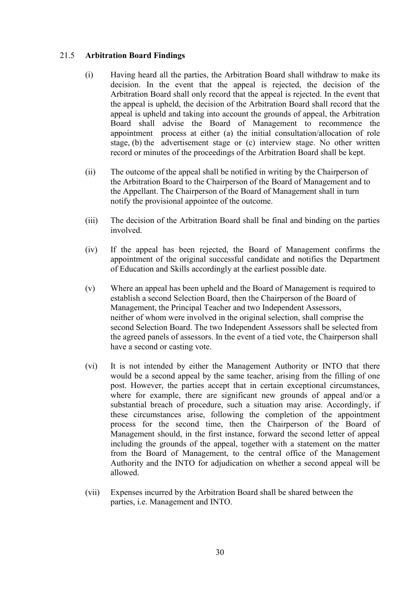### 21.5 **Arbitration Board Findings**

- (i) Having heard all the parties, the Arbitration Board shall withdraw to make its decision. In the event that the appeal is rejected, the decision of the Arbitration Board shall only record that the appeal is rejected. In the event that the appeal is upheld, the decision of the Arbitration Board shall record that the appeal is upheld and taking into account the grounds of appeal, the Arbitration Board shall advise the Board of Management to recommence the appointment process at either (a) the initial consultation/allocation of role stage, (b) the advertisement stage or (c) interview stage. No other written record or minutes of the proceedings of the Arbitration Board shall be kept.
- (ii) The outcome of the appeal shall be notified in writing by the Chairperson of the Arbitration Board to the Chairperson of the Board of Management and to the Appellant. The Chairperson of the Board of Management shall in turn notify the provisional appointee of the outcome.
- (iii) The decision of the Arbitration Board shall be final and binding on the parties involved.
- (iv) If the appeal has been rejected, the Board of Management confirms the appointment of the original successful candidate and notifies the Department of Education and Skills accordingly at the earliest possible date.
- (v) Where an appeal has been upheld and the Board of Management is required to establish a second Selection Board, then the Chairperson of the Board of Management, the Principal Teacher and two Independent Assessors, neither of whom were involved in the original selection, shall comprise the second Selection Board. The two Independent Assessors shall be selected from the agreed panels of assessors. In the event of a tied vote, the Chairperson shall have a second or casting vote.
- (vi) It is not intended by either the Management Authority or INTO that there would be a second appeal by the same teacher, arising from the filling of one post. However, the parties accept that in certain exceptional circumstances, where for example, there are significant new grounds of appeal and/or a substantial breach of procedure, such a situation may arise. Accordingly, if these circumstances arise, following the completion of the appointment process for the second time, then the Chairperson of the Board of Management should, in the first instance, forward the second letter of appeal including the grounds of the appeal, together with a statement on the matter from the Board of Management, to the central office of the Management Authority and the INTO for adjudication on whether a second appeal will be allowed.
- (vii) Expenses incurred by the Arbitration Board shall be shared between the parties, i.e. Management and INTO.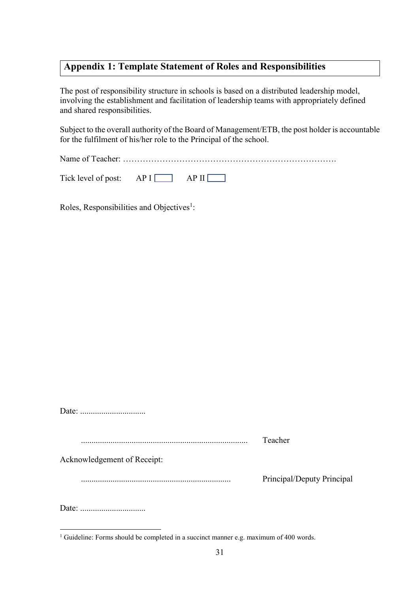# <span id="page-30-0"></span>**Appendix 1: Template Statement of Roles and Responsibilities**

The post of responsibility structure in schools is based on a distributed leadership model, involving the establishment and facilitation of leadership teams with appropriately defined and shared responsibilities.

Subject to the overall authority of the Board of Management/ETB, the post holder is accountable for the fulfilment of his/her role to the Principal of the school.

Name of Teacher:

Tick level of post:  $AP I$   $\Box$  AP II

Roles, Responsibilities and Objectives<sup>1</sup>:

|                             | Teacher                    |
|-----------------------------|----------------------------|
| Acknowledgement of Receipt: |                            |
|                             | Principal/Deputy Principal |
|                             |                            |

1

<sup>&</sup>lt;sup>1</sup> Guideline: Forms should be completed in a succinct manner e.g. maximum of 400 words.